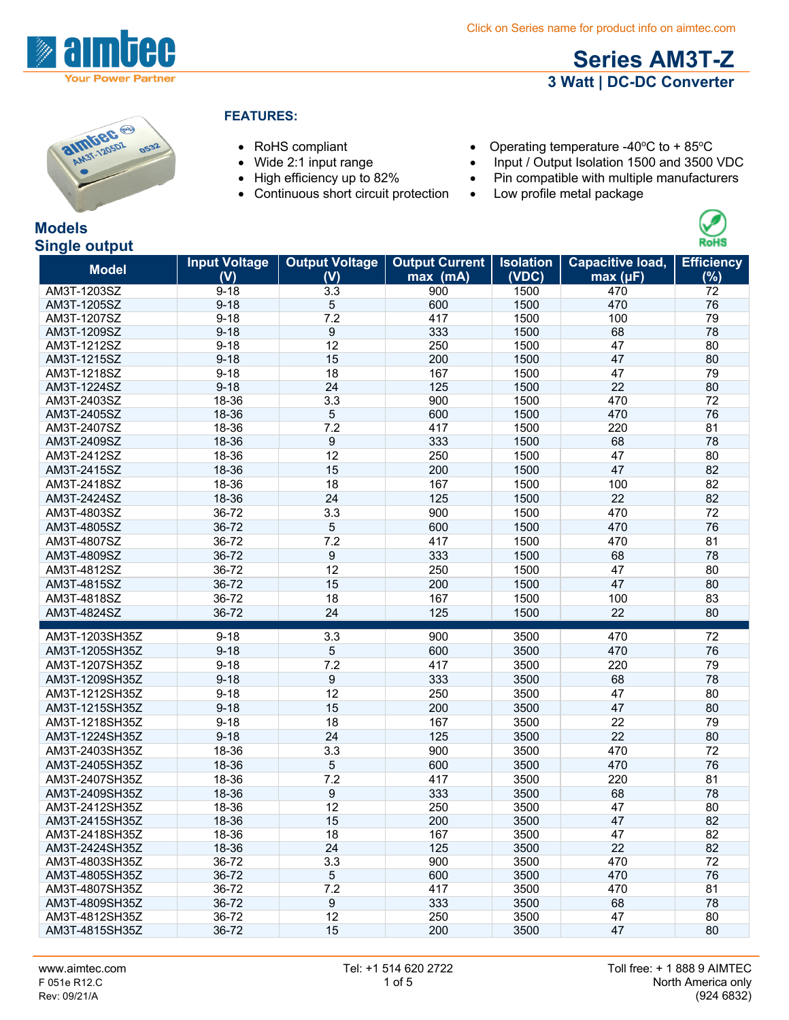

# **Series AM3T-Z 3 Watt | DC-DC Converter**

| <b>aimbec</b><br>0532 |
|-----------------------|
|                       |
|                       |

#### **FEATURES:**

- 
- 
- 
- Continuous short circuit protection  $\bullet$
- RoHS compliant Operating temperature -40°C to + 85°C
- Wide 2:1 input range Input / Output Isolation 1500 and 3500 VDC<br>• High efficiency up to 82% Pin compatible with multiple manufacturers
	- Pin compatible with multiple manufacturers<br>• Low profile metal package
	-



| Models               |  |
|----------------------|--|
| <b>Single output</b> |  |

|                | <b>Input Voltage</b> | <b>Output Voltage</b> | <b>Output Current</b> | <b>Isolation</b> | <b>Capacitive load,</b> | <b>Efficiency</b> |
|----------------|----------------------|-----------------------|-----------------------|------------------|-------------------------|-------------------|
| <b>Model</b>   | (V)                  | (V)                   | $max$ (mA)            | (VDC)            | max (µF)                | (%)               |
| AM3T-1203SZ    | $9 - 18$             | 3.3                   | 900                   | 1500             | 470                     | 72                |
| AM3T-1205SZ    | $9 - 18$             | 5                     | 600                   | 1500             | 470                     | 76                |
| AM3T-1207SZ    | $9 - 18$             | 7.2                   | 417                   | 1500             | 100                     | 79                |
| AM3T-1209SZ    | $9 - 18$             | $\boldsymbol{9}$      | 333                   | 1500             | 68                      | 78                |
| AM3T-1212SZ    | $9 - 18$             | 12                    | 250                   | 1500             | 47                      | 80                |
| AM3T-1215SZ    | $9 - 18$             | 15                    | 200                   | 1500             | 47                      | 80                |
| AM3T-1218SZ    | $9 - 18$             | 18                    | 167                   | 1500             | 47                      | 79                |
| AM3T-1224SZ    | $9 - 18$             | 24                    | 125                   | 1500             | 22                      | 80                |
| AM3T-2403SZ    | 18-36                | 3.3                   | 900                   | 1500             | 470                     | 72                |
| AM3T-2405SZ    | 18-36                | 5                     | 600                   | 1500             | 470                     | 76                |
| AM3T-2407SZ    | 18-36                | 7.2                   | 417                   | 1500             | 220                     | 81                |
| AM3T-2409SZ    | 18-36                | $\boldsymbol{9}$      | 333                   | 1500             | 68                      | 78                |
| AM3T-2412SZ    | 18-36                | 12                    | 250                   | 1500             | 47                      | 80                |
| AM3T-2415SZ    | 18-36                | 15                    | 200                   | 1500             | 47                      | 82                |
| AM3T-2418SZ    | 18-36                | 18                    | 167                   | 1500             | 100                     | 82                |
| AM3T-2424SZ    | 18-36                | 24                    | 125                   | 1500             | 22                      | 82                |
| AM3T-4803SZ    | 36-72                | 3.3                   | 900                   | 1500             | 470                     | 72                |
| AM3T-4805SZ    | 36-72                | 5                     | 600                   | 1500             | 470                     | 76                |
| AM3T-4807SZ    | 36-72                | 7.2                   | 417                   | 1500             | 470                     | 81                |
| AM3T-4809SZ    | 36-72                | $\boldsymbol{9}$      | 333                   | 1500             | 68                      | 78                |
| AM3T-4812SZ    | 36-72                | 12                    | 250                   | 1500             | 47                      | 80                |
| AM3T-4815SZ    | 36-72                | 15                    | 200                   | 1500             | 47                      | 80                |
| AM3T-4818SZ    | 36-72                | 18                    | 167                   | 1500             | 100                     | 83                |
| AM3T-4824SZ    | 36-72                | 24                    | 125                   | 1500             | 22                      | 80                |
| AM3T-1203SH35Z | $9 - 18$             |                       | 900                   |                  | 470                     | 72                |
| AM3T-1205SH35Z | $9 - 18$             | 3.3<br>5              | 600                   | 3500<br>3500     | 470                     | 76                |
|                |                      | 7.2                   |                       |                  |                         |                   |
| AM3T-1207SH35Z | $9 - 18$             |                       | 417                   | 3500             | 220                     | 79                |
| AM3T-1209SH35Z | $9 - 18$             | $\boldsymbol{9}$      | 333                   | 3500             | 68                      | 78                |
| AM3T-1212SH35Z | $9 - 18$             | 12                    | 250                   | 3500             | 47                      | 80                |
| AM3T-1215SH35Z | $9 - 18$             | 15                    | 200                   | 3500             | 47                      | 80                |
| AM3T-1218SH35Z | $9 - 18$             | 18                    | 167                   | 3500             | 22                      | 79                |
| AM3T-1224SH35Z | $9 - 18$             | 24                    | 125                   | 3500             | 22                      | 80                |
| AM3T-2403SH35Z | 18-36                | 3.3                   | 900                   | 3500             | 470                     | 72                |
| AM3T-2405SH35Z | 18-36                | 5                     | 600                   | 3500             | 470                     | 76                |
| AM3T-2407SH35Z | 18-36                | 7.2                   | 417                   | 3500             | 220                     | 81                |
| AM3T-2409SH35Z | 18-36                | $\boldsymbol{9}$      | 333                   | 3500             | 68                      | 78                |
| AM3T-2412SH35Z | 18-36                | 12                    | 250                   | 3500             | 47                      | 80                |
| AM3T-2415SH35Z | 18-36                | 15                    | 200                   | 3500             | 47                      | 82                |
| AM3T-2418SH35Z | 18-36                | 18                    | 167                   | 3500             | 47                      | 82                |
| AM3T-2424SH35Z | 18-36                | 24                    | 125                   | 3500             | 22                      | 82                |
| AM3T-4803SH35Z | 36-72                | 3.3                   | 900                   | 3500             | 470                     | 72                |
| AM3T-4805SH35Z | 36-72                | $\overline{5}$        | 600                   | 3500             | 470                     | 76                |
| AM3T-4807SH35Z | 36-72                | 7.2                   | 417                   | 3500             | 470                     | 81                |
| AM3T-4809SH35Z | 36-72                | 9                     | 333                   | 3500             | 68                      | 78                |
| AM3T-4812SH35Z | 36-72                | 12                    | 250                   | 3500             | 47                      | 80                |
| AM3T-4815SH35Z | 36-72                | 15                    | 200                   | 3500             | 47                      | 80                |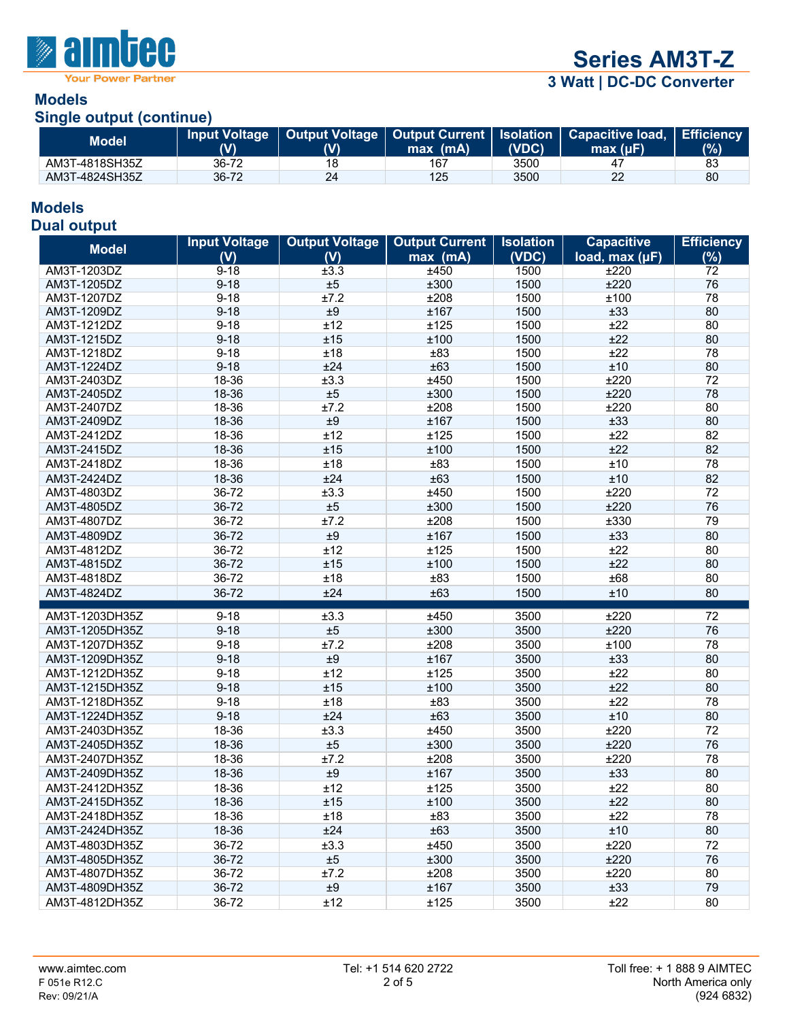

**Series AM3T-Z**

**3 Watt | DC-DC Converter**

## **Models**

## **Single output (continue)**

| Model          | (V)   |    | $max$ (mA) | <b>(VDC)</b> | ∣ Input Voltage │ Output Voltage │ Output Current │ Isolation │ Capacitive Ioad, │ Efficiency │<br>max (uF) | (9) |
|----------------|-------|----|------------|--------------|-------------------------------------------------------------------------------------------------------------|-----|
| AM3T-4818SH35Z | 36-72 | 18 | 167        | 3500         |                                                                                                             | 83  |
| AM3T-4824SH35Z | 36-72 | 24 | 125        | 3500         |                                                                                                             | 80  |

## **Models**

### **Dual output**

| <b>Model</b>   | <b>Input Voltage</b> | <b>Output Voltage</b> | <b>Output Current</b> | <b>Isolation</b> | <b>Capacitive</b> | <b>Efficiency</b> |
|----------------|----------------------|-----------------------|-----------------------|------------------|-------------------|-------------------|
|                | (V)                  | (V)                   | max (mA)              | (VDC)            | load, max (µF)    | (%)               |
| AM3T-1203DZ    | $9 - 18$             | ±3.3                  | ±450                  | 1500             | ±220              | 72                |
| AM3T-1205DZ    | $9 - 18$             | ±5                    | ±300                  | 1500             | ±220              | 76                |
| AM3T-1207DZ    | $9 - 18$             | ±7.2                  | ±208                  | 1500             | ±100              | 78                |
| AM3T-1209DZ    | $9 - 18$             | ±9                    | ±167                  | 1500             | ±33               | 80                |
| AM3T-1212DZ    | $9 - 18$             | ±12                   | ±125                  | 1500             | ±22               | 80                |
| AM3T-1215DZ    | $9 - 18$             | ±15                   | ±100                  | 1500             | ±22               | 80                |
| AM3T-1218DZ    | $9 - 18$             | ±18                   | ±83                   | 1500             | ±22               | 78                |
| AM3T-1224DZ    | $9 - 18$             | ±24                   | ±63                   | 1500             | ±10               | 80                |
| AM3T-2403DZ    | 18-36                | ±3.3                  | ±450                  | 1500             | ±220              | 72                |
| AM3T-2405DZ    | 18-36                | ±5                    | ±300                  | 1500             | ±220              | 78                |
| AM3T-2407DZ    | 18-36                | ±7.2                  | ±208                  | 1500             | ±220              | 80                |
| AM3T-2409DZ    | 18-36                | $\pm 9$               | ±167                  | 1500             | ±33               | 80                |
| AM3T-2412DZ    | 18-36                | ±12                   | ±125                  | 1500             | ±22               | 82                |
| AM3T-2415DZ    | 18-36                | ±15                   | ±100                  | 1500             | ±22               | 82                |
| AM3T-2418DZ    | 18-36                | ±18                   | ±83                   | 1500             | ±10               | 78                |
| AM3T-2424DZ    | 18-36                | ±24                   | ±63                   | 1500             | ±10               | 82                |
| AM3T-4803DZ    | 36-72                | ±3.3                  | ±450                  | 1500             | ±220              | 72                |
| AM3T-4805DZ    | 36-72                | ±5                    | ±300                  | 1500             | ±220              | 76                |
| AM3T-4807DZ    | 36-72                | ±7.2                  | ±208                  | 1500             | ±330              | 79                |
| AM3T-4809DZ    | 36-72                | $\pm 9$               | ±167                  | 1500             | ±33               | 80                |
| AM3T-4812DZ    | 36-72                | ±12                   | ±125                  | 1500             | ±22               | 80                |
| AM3T-4815DZ    | 36-72                | ±15                   | ±100                  | 1500             | ±22               | 80                |
| AM3T-4818DZ    | 36-72                | ±18                   | ±83                   | 1500             | ±68               | 80                |
| AM3T-4824DZ    | 36-72                | ±24                   | ±63                   | 1500             | ±10               | 80                |
| AM3T-1203DH35Z | $9 - 18$             | ±3.3                  | ±450                  | 3500             | ±220              | 72                |
| AM3T-1205DH35Z | $9 - 18$             | ±5                    | ±300                  | 3500             | ±220              | 76                |
| AM3T-1207DH35Z | $9 - 18$             | ±7.2                  | ±208                  | 3500             | ±100              | 78                |
| AM3T-1209DH35Z | $9 - 18$             | $\pm 9$               | ±167                  | 3500             | ±33               | 80                |
| AM3T-1212DH35Z | $9 - 18$             | ±12                   | ±125                  | 3500             | ±22               | 80                |
| AM3T-1215DH35Z | $9 - 18$             | ±15                   | ±100                  | 3500             | ±22               | 80                |
| AM3T-1218DH35Z | $9 - 18$             | ±18                   | ±83                   | 3500             | ±22               | 78                |
| AM3T-1224DH35Z | $9 - 18$             | ±24                   | ±63                   | 3500             | ±10               | 80                |
| AM3T-2403DH35Z | 18-36                | ±3.3                  | ±450                  | 3500             | ±220              | 72                |
| AM3T-2405DH35Z | 18-36                | ±5                    | ±300                  | 3500             | ±220              | 76                |
| AM3T-2407DH35Z | 18-36                | ±7.2                  | ±208                  | 3500             | ±220              | 78                |
| AM3T-2409DH35Z | 18-36                | $\pm 9$               | ±167                  | 3500             | ±33               | 80                |
| AM3T-2412DH35Z | 18-36                | ±12                   | ±125                  | 3500             | ±22               | 80                |
| AM3T-2415DH35Z | 18-36                | ±15                   | ±100                  | 3500             | ±22               | 80                |
| AM3T-2418DH35Z | 18-36                | ±18                   | ±83                   | 3500             | ±22               | 78                |
| AM3T-2424DH35Z | 18-36                | ±24                   | ±63                   | 3500             | ±10               | 80                |
| AM3T-4803DH35Z | 36-72                | ±3.3                  | ±450                  | 3500             | ±220              | 72                |
| AM3T-4805DH35Z | 36-72                | ±5                    | ±300                  | 3500             | ±220              | 76                |
| AM3T-4807DH35Z | 36-72                | ±7.2                  | ±208                  | 3500             | ±220              | 80                |
| AM3T-4809DH35Z | 36-72                | ±9                    | ±167                  | 3500             | ±33               | 79                |
| AM3T-4812DH35Z | 36-72                | ±12                   | ±125                  | 3500             | ±22               | 80                |
|                |                      |                       |                       |                  |                   |                   |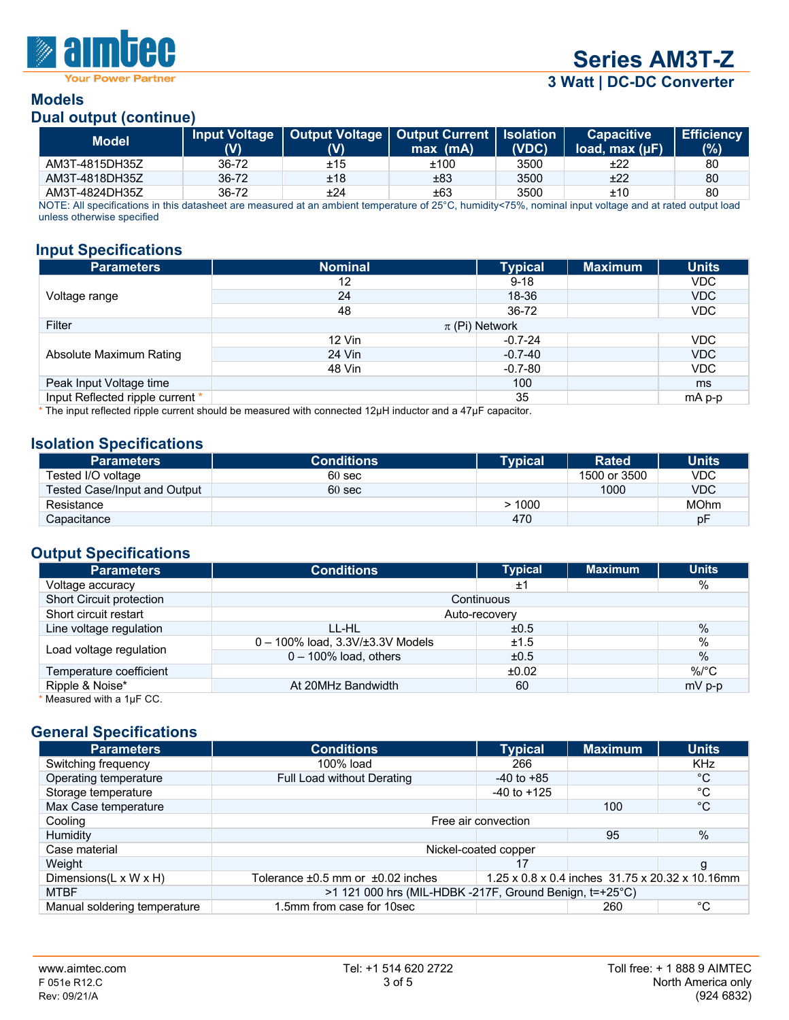

## **3 Watt | DC-DC Converter**

#### **Models Dual output (continue)**

| P GUI VULPUL I VVIILIIUV                                                                                                                                  |       |                                                                      |            |       |                                     |                          |  |
|-----------------------------------------------------------------------------------------------------------------------------------------------------------|-------|----------------------------------------------------------------------|------------|-------|-------------------------------------|--------------------------|--|
| <b>Model</b>                                                                                                                                              | (V)   | <b>Input Voltage   Output Voltage   Output Current   Isolation 1</b> | $max$ (mA) | (VDC) | <b>Capacitive</b><br>load, max (µF) | <b>Efficiency</b><br>(%) |  |
|                                                                                                                                                           |       |                                                                      |            |       |                                     |                          |  |
| AM3T-4815DH35Z                                                                                                                                            | 36-72 | ±15                                                                  | ±100       | 3500  | ±22                                 | 80                       |  |
| AM3T-4818DH35Z                                                                                                                                            | 36-72 | ±18                                                                  | ±83        | 3500  | ±22                                 | 80                       |  |
| AM3T-4824DH35Z                                                                                                                                            | 36-72 | ±24                                                                  | ±63        | 3500  | ±10                                 | 80                       |  |
| NOTE: All epocifications in this datasheet are measured at an ambient temperature of 25°C, burnidity (75%, nominal input voltage and at rated output load |       |                                                                      |            |       |                                     |                          |  |

NOTE: All specifications in this datasheet are measured at an ambient temperature of 25°C, humidity<75%, nominal input voltage and at rated output load unless otherwise specified

## **Input Specifications**

| <b>Parameters</b>                | <b>Nominal</b>     | <b>Typical</b> | <b>Maximum</b> | <b>Units</b> |  |
|----------------------------------|--------------------|----------------|----------------|--------------|--|
|                                  | 12                 | $9 - 18$       |                | VDC.         |  |
| Voltage range                    | 24                 | 18-36          |                | VDC.         |  |
|                                  | 48                 | $36 - 72$      |                | VDC.         |  |
| Filter                           | $\pi$ (Pi) Network |                |                |              |  |
| Absolute Maximum Rating          | 12 Vin             | $-0.7 - 24$    |                | VDC.         |  |
|                                  | 24 Vin             | $-0.7 - 40$    |                | VDC.         |  |
|                                  | 48 Vin             | $-0.7-80$      |                | VDC.         |  |
| Peak Input Voltage time          |                    | 100            |                | ms           |  |
| Input Reflected ripple current * |                    | 35             |                | mA p-p       |  |

\* The input reflected ripple current should be measured with connected 12μH inductor and a 47µF capacitor.

#### **Isolation Specifications**

| <b>Parameters</b>            | <b>Conditions</b> | Tvpical | <b>Rated</b> | <b>Units</b> |
|------------------------------|-------------------|---------|--------------|--------------|
| Tested I/O voltage           | 60 <sub>sec</sub> |         | 1500 or 3500 | <b>VDC</b>   |
| Tested Case/Input and Output | $60$ sec          |         | 1000         | <b>VDC</b>   |
| Resistance                   |                   | >1000   |              | <b>MOhm</b>  |
| Capacitance                  |                   | 470     |              | рF           |

#### **Output Specifications**

| <b>Parameters</b>             | <b>Conditions</b>                        | <b>Typical</b> | <b>Maximum</b> | <b>Units</b> |
|-------------------------------|------------------------------------------|----------------|----------------|--------------|
| Voltage accuracy              |                                          | ±1             |                | $\%$         |
| Short Circuit protection      |                                          | Continuous     |                |              |
| Short circuit restart         |                                          | Auto-recovery  |                |              |
| Line voltage regulation       | LL-HL                                    | ±0.5           |                | %            |
|                               | $0 - 100\%$ load, $3.3V/\pm 3.3V$ Models | ±1.5           |                | $\%$         |
| Load voltage regulation       | $0 - 100\%$ load, others                 | ±0.5           |                | $\%$         |
| Temperature coefficient       |                                          | ±0.02          |                | $\%$ /°C     |
| Ripple & Noise*               | At 20MHz Bandwidth                       | 60             |                | $mV$ p-p     |
| Measured with a $1 \cup F$ CC |                                          |                |                |              |

Measured with a  $1\mu$ F CC.

### **General Specifications**

| <b>Parameters</b>                   | <b>Conditions</b>                                         | <b>Typical</b>       | <b>Maximum</b>                                  | <b>Units</b> |  |  |
|-------------------------------------|-----------------------------------------------------------|----------------------|-------------------------------------------------|--------------|--|--|
| Switching frequency                 | 100% load                                                 | 266                  |                                                 | <b>KHz</b>   |  |  |
| Operating temperature               | Full Load without Derating                                | $-40$ to $+85$       |                                                 | $^{\circ}C$  |  |  |
| Storage temperature                 |                                                           | $-40$ to $+125$      |                                                 | $^{\circ}$ C |  |  |
| Max Case temperature                |                                                           |                      | 100                                             | $^{\circ}C$  |  |  |
| Cooling                             |                                                           | Free air convection  |                                                 |              |  |  |
| Humidity                            |                                                           |                      | 95                                              | $\%$         |  |  |
| Case material                       |                                                           | Nickel-coated copper |                                                 |              |  |  |
| Weight                              |                                                           |                      |                                                 | g            |  |  |
| Dimensions( $L \times W \times H$ ) | Tolerance $\pm 0.5$ mm or $\pm 0.02$ inches               |                      | 1.25 x 0.8 x 0.4 inches 31.75 x 20.32 x 10.16mm |              |  |  |
| <b>MTBF</b>                         | $>1$ 121 000 hrs (MIL-HDBK -217F, Ground Benign, t=+25°C) |                      |                                                 |              |  |  |
| Manual soldering temperature        | 1.5mm from case for 10sec                                 |                      | 260                                             | °C           |  |  |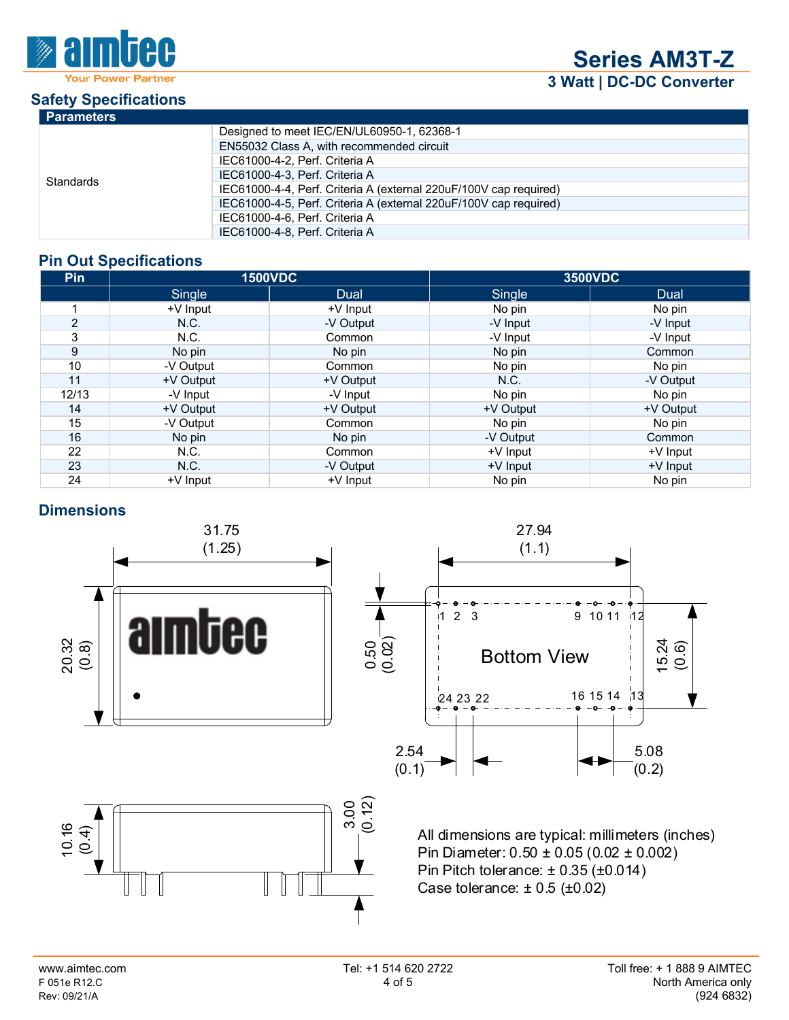

## **Safety Specifications**

| <b>Parameters</b> |                                                                   |
|-------------------|-------------------------------------------------------------------|
| <b>Standards</b>  | Designed to meet IEC/EN/UL60950-1, 62368-1                        |
|                   | EN55032 Class A, with recommended circuit                         |
|                   | IEC61000-4-2, Perf. Criteria A                                    |
|                   | IEC61000-4-3. Perf. Criteria A                                    |
|                   | IEC61000-4-4, Perf. Criteria A (external 220uF/100V cap required) |
|                   | IEC61000-4-5, Perf. Criteria A (external 220uF/100V cap required) |
|                   | IEC61000-4-6, Perf. Criteria A                                    |
|                   | IEC61000-4-8, Perf. Criteria A                                    |

#### **Pin Out Specifications**

| Pin            | <b>1500VDC</b> |           |               | 3500VDC   |
|----------------|----------------|-----------|---------------|-----------|
|                | Single         | Dual      | <b>Single</b> | Dual      |
|                | +V Input       | +V Input  | No pin        | No pin    |
| $\overline{2}$ | N.C.           | -V Output | -V Input      | -V Input  |
| 3              | N.C.           | Common    | -V Input      | -V Input  |
| 9              | No pin         | No pin    | No pin        | Common    |
| 10             | -V Output      | Common    | No pin        | No pin    |
| 11             | +V Output      | +V Output | N.C.          | -V Output |
| 12/13          | -V Input       | -V Input  | No pin        | No pin    |
| 14             | +V Output      | +V Output | +V Output     | +V Output |
| 15             | -V Output      | Common    | No pin        | No pin    |
| 16             | No pin         | No pin    | -V Output     | Common    |
| 22             | N.C.           | Common    | +V Input      | +V Input  |
| 23             | N.C.           | -V Output | +V Input      | +V Input  |
| 24             | +V Input       | +V Input  | No pin        | No pin    |

#### **Dimensions**